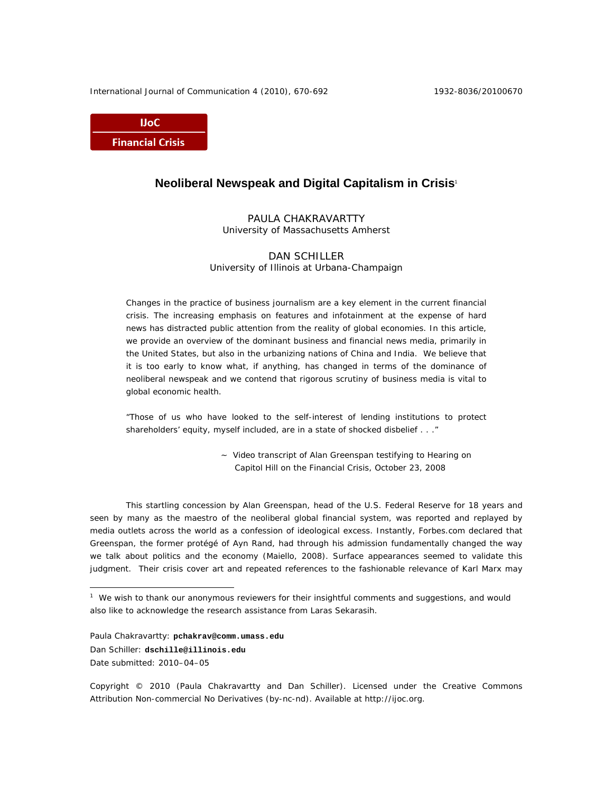International Journal of Communication 4 (2010), 670-692 1932-8036/20100670

**IJoC Financial Crisis** 

# **Neoliberal Newspeak and Digital Capitalism in Crisis**<sup>1</sup>

PAULA CHAKRAVARTTY University of Massachusetts Amherst

DAN SCHILLER University of Illinois at Urbana-Champaign

Changes in the practice of business journalism are a key element in the current financial crisis. The increasing emphasis on features and infotainment at the expense of hard news has distracted public attention from the reality of global economies. In this article, we provide an overview of the dominant business and financial news media, primarily in the United States, but also in the urbanizing nations of China and India. We believe that it is too early to know what, if anything, has changed in terms of the dominance of neoliberal newspeak and we contend that rigorous scrutiny of business media is vital to global economic health.

*"Those of us who have looked to the self-interest of lending institutions to protect shareholders' equity, myself included, are in a state of shocked disbelief . . ."* 

> ~ Video transcript of Alan Greenspan testifying to Hearing on Capitol Hill on the Financial Crisis, October 23, 2008

This startling concession by Alan Greenspan, head of the U.S. Federal Reserve for 18 years and seen by many as the maestro of the neoliberal global financial system, was reported and replayed by media outlets across the world as a confession of ideological excess. Instantly, Forbes.com declared that Greenspan, the former protégé of Ayn Rand, had through his admission fundamentally changed the way we talk about politics and the economy (Maiello, 2008). Surface appearances seemed to validate this judgment. Their crisis cover art and repeated references to the fashionable relevance of Karl Marx may

Paula Chakravartty: **pchakrav@comm.umass.edu** Dan Schiller: **dschille@illinois.edu**  Date submitted: 2010–04–05

 $\overline{a}$ 

Copyright © 2010 (Paula Chakravartty and Dan Schiller). Licensed under the Creative Commons Attribution Non-commercial No Derivatives (by-nc-nd). Available at http://ijoc.org.

<sup>&</sup>lt;sup>1</sup> We wish to thank our anonymous reviewers for their insightful comments and suggestions, and would also like to acknowledge the research assistance from Laras Sekarasih.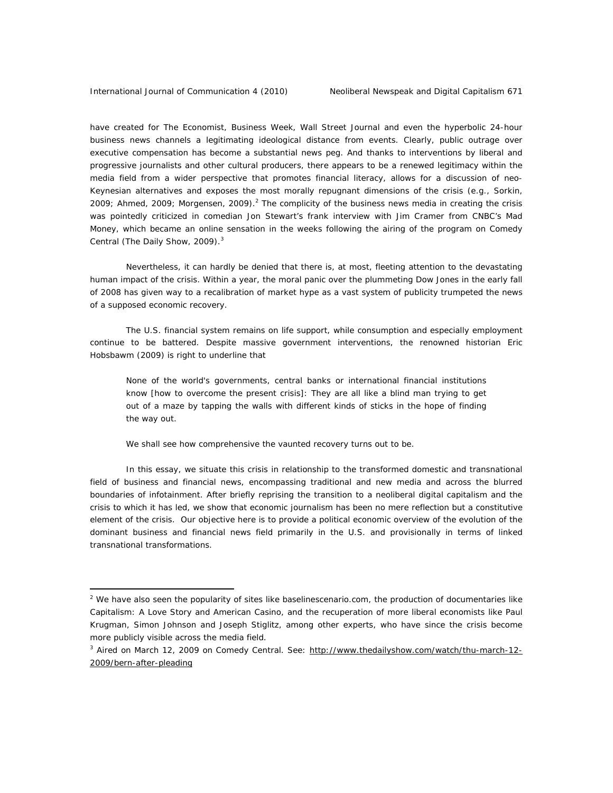have created for *The Economist*, *Business Week, Wall Street Journal* and even the hyperbolic 24-hour business news channels a legitimating ideological distance from events. Clearly, public outrage over executive compensation has become a substantial news peg. And thanks to interventions by liberal and progressive journalists and other cultural producers, there appears to be a renewed legitimacy within the media field from a wider perspective that promotes financial literacy, allows for a discussion of neo-Keynesian alternatives and exposes the most morally repugnant dimensions of the crisis (e.g., Sorkin, 2009; Ahmed, 2009; Morgensen, 2009).<sup>2</sup> The complicity of the business news media in creating the crisis was pointedly criticized in comedian Jon Stewart's frank interview with Jim Cramer from CNBC's *Mad Money,* which became an online sensation in the weeks following the airing of the program on *Comedy Central* (The Daily Show, 2009).<sup>3</sup>

Nevertheless, it can hardly be denied that there is, at most, fleeting attention to the devastating human impact of the crisis. Within a year, the moral panic over the plummeting Dow Jones in the early fall of 2008 has given way to a recalibration of market hype as a vast system of publicity trumpeted the news of a supposed economic recovery.

The U.S. financial system remains on life support, while consumption and especially employment continue to be battered. Despite massive government interventions, the renowned historian Eric Hobsbawm (2009) is right to underline that

None of the world's governments, central banks or international financial institutions know [how to overcome the present crisis]: They are all like a blind man trying to get out of a maze by tapping the walls with different kinds of sticks in the hope of finding the way out.

We shall see how comprehensive the vaunted recovery turns out to be.

In this essay, we situate this crisis in relationship to the transformed domestic and transnational field of business and financial news, encompassing traditional and new media and across the blurred boundaries of infotainment. After briefly reprising the transition to a neoliberal digital capitalism and the crisis to which it has led, we show that economic journalism has been no mere reflection but a constitutive element of the crisis. Our objective here is to provide a political economic overview of the evolution of the dominant business and financial news field primarily in the U.S. and provisionally in terms of linked transnational transformations.

 $2$  We have also seen the popularity of sites like baselinescenario.com, the production of documentaries like *Capitalism: A Love Story* and *American Casino,* and the recuperation of more liberal economists like Paul Krugman, Simon Johnson and Joseph Stiglitz, among other experts, who have since the crisis become more publicly visible across the media field.

<sup>3</sup> Aired on March 12, 2009 on *Comedy Central*. See: http://www.thedailyshow.com/watch/thu-march-12- 2009/bern-after-pleading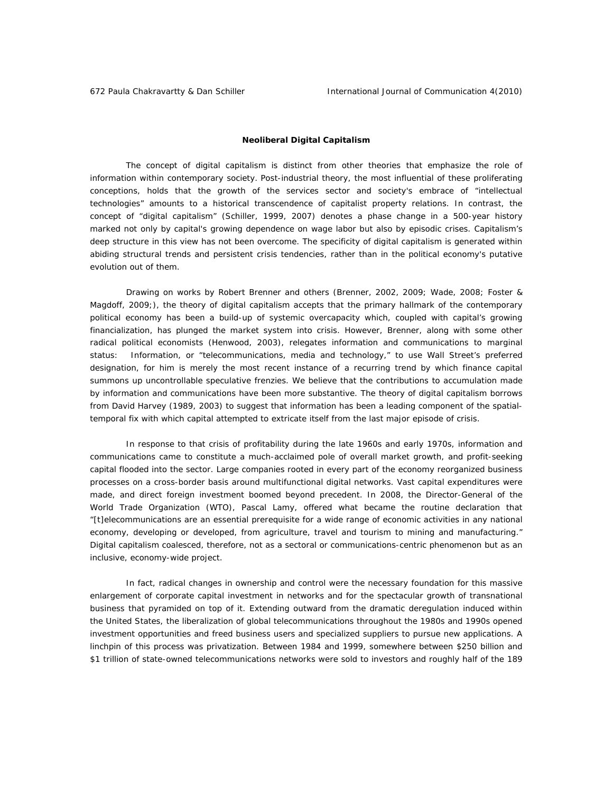# **Neoliberal Digital Capitalism**

The concept of digital capitalism is distinct from other theories that emphasize the role of information within contemporary society. Post-industrial theory, the most influential of these proliferating conceptions, holds that the growth of the services sector and society's embrace of "intellectual technologies" amounts to a historical transcendence of capitalist property relations. In contrast, the concept of "digital capitalism" (Schiller, 1999, 2007) denotes a phase change in a 500-year history marked not only by capital's growing dependence on wage labor but also by episodic crises. Capitalism's deep structure in this view has not been overcome. The specificity of digital capitalism is generated within abiding structural trends and persistent crisis tendencies, rather than in the political economy's putative evolution out of them.

Drawing on works by Robert Brenner and others (Brenner, 2002, 2009; Wade, 2008; Foster & Magdoff, 2009;), the theory of digital capitalism accepts that the primary hallmark of the contemporary political economy has been a build-up of systemic overcapacity which, coupled with capital's growing financialization, has plunged the market system into crisis. However, Brenner, along with some other radical political economists (Henwood, 2003), relegates information and communications to marginal status: Information, or "telecommunications, media and technology," to use Wall Street's preferred designation, for him is merely the most recent instance of a recurring trend by which finance capital summons up uncontrollable speculative frenzies. We believe that the contributions to accumulation made by information and communications have been more substantive. The theory of digital capitalism borrows from David Harvey (1989, 2003) to suggest that information has been a leading component of the spatialtemporal fix with which capital attempted to extricate itself from the last major episode of crisis.

In response to that crisis of profitability during the late 1960s and early 1970s, information and communications came to constitute a much-acclaimed pole of overall market growth, and profit-seeking capital flooded into the sector. Large companies rooted in every part of the economy reorganized business processes on a cross-border basis around multifunctional digital networks. Vast capital expenditures were made, and direct foreign investment boomed beyond precedent. In 2008, the Director-General of the World Trade Organization (WTO), Pascal Lamy, offered what became the routine declaration that "[t]elecommunications are an essential prerequisite for a wide range of economic activities in any national economy, developing or developed, from agriculture, travel and tourism to mining and manufacturing." Digital capitalism coalesced, therefore, not as a sectoral or communications-centric phenomenon but as an inclusive, economy-wide project.

In fact, radical changes in ownership and control were the necessary foundation for this massive enlargement of corporate capital investment in networks and for the spectacular growth of transnational business that pyramided on top of it. Extending outward from the dramatic deregulation induced within the United States, the liberalization of global telecommunications throughout the 1980s and 1990s opened investment opportunities and freed business users and specialized suppliers to pursue new applications. A linchpin of this process was privatization. Between 1984 and 1999, somewhere between \$250 billion and \$1 trillion of state-owned telecommunications networks were sold to investors and roughly half of the 189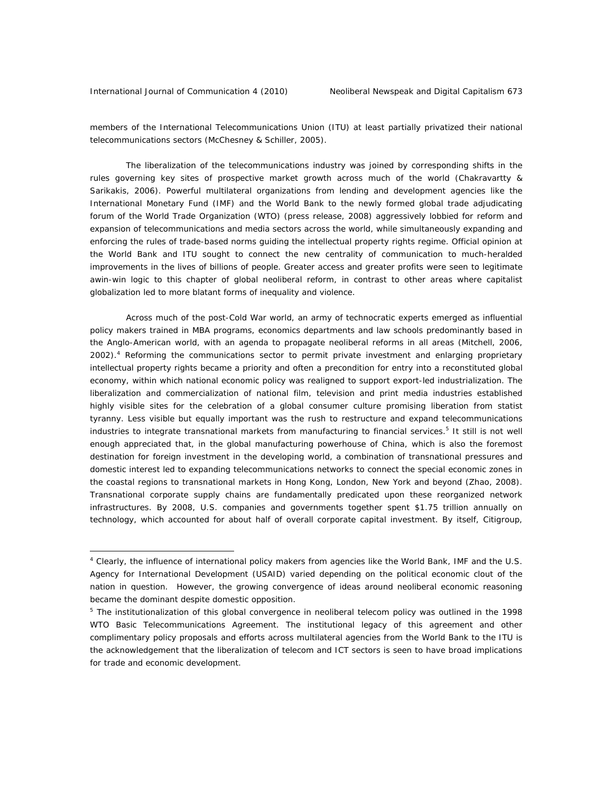members of the International Telecommunications Union (ITU) at least partially privatized their national telecommunications sectors (McChesney & Schiller, 2005).

The liberalization of the telecommunications industry was joined by corresponding shifts in the rules governing key sites of prospective market growth across much of the world (Chakravartty & Sarikakis, 2006). Powerful multilateral organizations from lending and development agencies like the International Monetary Fund (IMF) and the World Bank to the newly formed global trade adjudicating forum of the World Trade Organization (WTO) (press release, 2008) aggressively lobbied for reform and expansion of telecommunications and media sectors across the world, while simultaneously expanding and enforcing the rules of trade-based norms guiding the intellectual property rights regime. Official opinion at the World Bank and ITU sought to connect the new centrality of communication to much-heralded improvements in the lives of billions of people. Greater access and greater profits were seen to legitimate awin-win logic to this chapter of global neoliberal reform, in contrast to other areas where capitalist globalization led to more blatant forms of inequality and violence.

Across much of the post-Cold War world, an army of technocratic experts emerged as influential policy makers trained in MBA programs, economics departments and law schools predominantly based in the Anglo-American world, with an agenda to propagate neoliberal reforms in all areas (Mitchell, 2006, 2002).<sup>4</sup> Reforming the communications sector to permit private investment and enlarging proprietary intellectual property rights became a priority and often a precondition for entry into a reconstituted global economy, within which national economic policy was realigned to support export-led industrialization. The liberalization and commercialization of national film, television and print media industries established highly visible sites for the celebration of a global consumer culture promising liberation from statist tyranny. Less visible but equally important was the rush to restructure and expand telecommunications industries to integrate transnational markets from manufacturing to financial services.<sup>5</sup> It still is not well enough appreciated that, in the global manufacturing powerhouse of China, which is also the foremost destination for foreign investment in the developing world, a combination of transnational pressures and domestic interest led to expanding telecommunications networks to connect the special economic zones in the coastal regions to transnational markets in Hong Kong, London, New York and beyond (Zhao, 2008). Transnational corporate supply chains are fundamentally predicated upon these reorganized network infrastructures. By 2008, U.S. companies and governments together spent \$1.75 trillion annually on technology, which accounted for about half of overall corporate capital investment. By itself, Citigroup,

<sup>&</sup>lt;sup>4</sup> Clearly, the influence of international policy makers from agencies like the World Bank, IMF and the U.S. Agency for International Development (USAID) varied depending on the political economic clout of the nation in question. However, the growing convergence of ideas around neoliberal economic reasoning became the dominant despite domestic opposition.

<sup>&</sup>lt;sup>5</sup> The institutionalization of this global convergence in neoliberal telecom policy was outlined in the 1998 *WTO Basic Telecommunications Agreement*. The institutional legacy of this agreement and other complimentary policy proposals and efforts across multilateral agencies from the World Bank to the ITU is the acknowledgement that the liberalization of telecom and ICT sectors is seen to have broad implications for trade and economic development.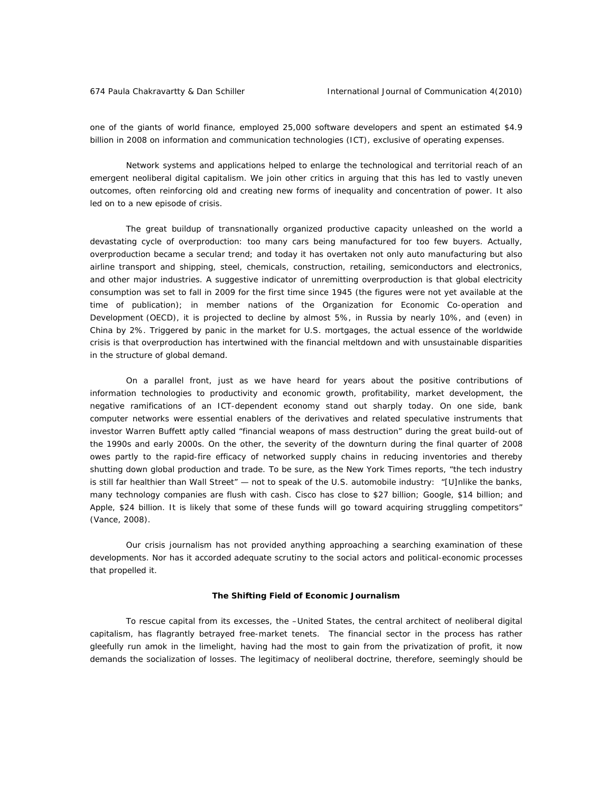one of the giants of world finance, employed 25,000 software developers and spent an estimated \$4.9 billion in 2008 on information and communication technologies (ICT), exclusive of operating expenses.

Network systems and applications helped to enlarge the technological and territorial reach of an emergent neoliberal digital capitalism. We join other critics in arguing that this has led to vastly uneven outcomes, often reinforcing old and creating new forms of inequality and concentration of power. It also led on to a new episode of crisis.

The great buildup of transnationally organized productive capacity unleashed on the world a devastating cycle of overproduction: too many cars being manufactured for too few buyers. Actually, overproduction became a secular trend; and today it has overtaken not only auto manufacturing but also airline transport and shipping, steel, chemicals, construction, retailing, semiconductors and electronics, and other major industries. A suggestive indicator of unremitting overproduction is that global electricity consumption was set to fall in 2009 for the first time since 1945 (the figures were not yet available at the time of publication); in member nations of the Organization for Economic Co-operation and Development (OECD), it is projected to decline by almost 5%, in Russia by nearly 10%, and (even) in China by 2%. Triggered by panic in the market for U.S. mortgages, the actual essence of the worldwide crisis is that overproduction has intertwined with the financial meltdown and with unsustainable disparities in the structure of global demand.

On a parallel front, just as we have heard for years about the positive contributions of information technologies to productivity and economic growth, profitability, market development, the negative ramifications of an ICT-dependent economy stand out sharply today. On one side, bank computer networks were essential enablers of the derivatives and related speculative instruments that investor Warren Buffett aptly called "financial weapons of mass destruction" during the great build-out of the 1990s and early 2000s. On the other, the severity of the downturn during the final quarter of 2008 owes partly to the rapid-fire efficacy of networked supply chains in reducing inventories and thereby shutting down global production and trade. To be sure, as the *New York Times* reports, "the tech industry is still far healthier than Wall Street" — not to speak of the U.S. automobile industry: "[U]nlike the banks, many technology companies are flush with cash. Cisco has close to \$27 billion; Google, \$14 billion; and Apple, \$24 billion. It is likely that some of these funds will go toward acquiring struggling competitors" (Vance, 2008).

Our crisis journalism has not provided anything approaching a searching examination of these developments. Nor has it accorded adequate scrutiny to the social actors and political-economic processes that propelled it.

# **The Shifting Field of Economic Journalism**

To rescue capital from its excesses, the –United States, the central architect of neoliberal digital capitalism, has flagrantly betrayed free-market tenets. The financial sector in the process has rather gleefully run amok in the limelight, having had the most to gain from the privatization of profit, it now demands the socialization of losses. The legitimacy of neoliberal doctrine, therefore, seemingly should be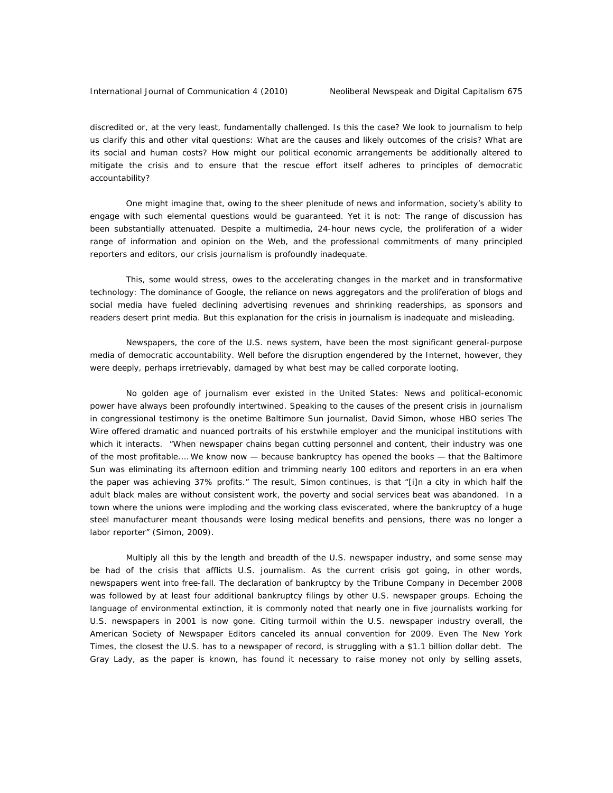discredited or, at the very least, fundamentally challenged. Is this the case? We look to journalism to help us clarify this and other vital questions: What are the causes and likely outcomes of the crisis? What are its social and human costs? How might our political economic arrangements be additionally altered to mitigate the crisis and to ensure that the rescue effort itself adheres to principles of democratic accountability?

One might imagine that, owing to the sheer plenitude of news and information, society's ability to engage with such elemental questions would be guaranteed. Yet it is not: The range of discussion has been substantially attenuated. Despite a multimedia, 24-hour news cycle, the proliferation of a wider range of information and opinion on the Web, and the professional commitments of many principled reporters and editors, our crisis journalism is profoundly inadequate.

This, some would stress, owes to the accelerating changes in the market and in transformative technology: The dominance of Google, the reliance on news aggregators and the proliferation of blogs and social media have fueled declining advertising revenues and shrinking readerships, as sponsors and readers desert print media. But this explanation for the crisis in journalism is inadequate and misleading.

Newspapers, the core of the U.S. news system, have been the most significant general-purpose media of democratic accountability. Well before the disruption engendered by the Internet, however, they were deeply, perhaps irretrievably, damaged by what best may be called corporate looting.

No golden age of journalism ever existed in the United States: News and political-economic power have always been profoundly intertwined. Speaking to the causes of the present crisis in journalism in congressional testimony is the onetime *Baltimore Sun* journalist, David Simon, whose HBO series *The Wire* offered dramatic and nuanced portraits of his erstwhile employer and the municipal institutions with which it interacts. "When newspaper chains began cutting personnel and content, their industry was one of the most profitable.… We know now — because bankruptcy has opened the books — that the *Baltimore Sun* was eliminating its afternoon edition and trimming nearly 100 editors and reporters in an era when the paper was achieving 37% profits." The result, Simon continues, is that "[i]n a city in which half the adult black males are without consistent work, the poverty and social services beat was abandoned. In a town where the unions were imploding and the working class eviscerated, where the bankruptcy of a huge steel manufacturer meant thousands were losing medical benefits and pensions, there was no longer a labor reporter" (Simon, 2009).

Multiply all this by the length and breadth of the U.S. newspaper industry, and some sense may be had of the crisis that afflicts U.S. journalism. As the current crisis got going, in other words, newspapers went into free-fall. The declaration of bankruptcy by the Tribune Company in December 2008 was followed by at least four additional bankruptcy filings by other U.S. newspaper groups. Echoing the language of environmental extinction, it is commonly noted that nearly one in five journalists working for U.S. newspapers in 2001 is now gone. Citing turmoil within the U.S. newspaper industry overall, the American Society of Newspaper Editors canceled its annual convention for 2009. Even *The New York Times,* the closest the U.S. has to a newspaper of record, is struggling with a \$1.1 billion dollar debt. The Gray Lady, as the paper is known, has found it necessary to raise money not only by selling assets,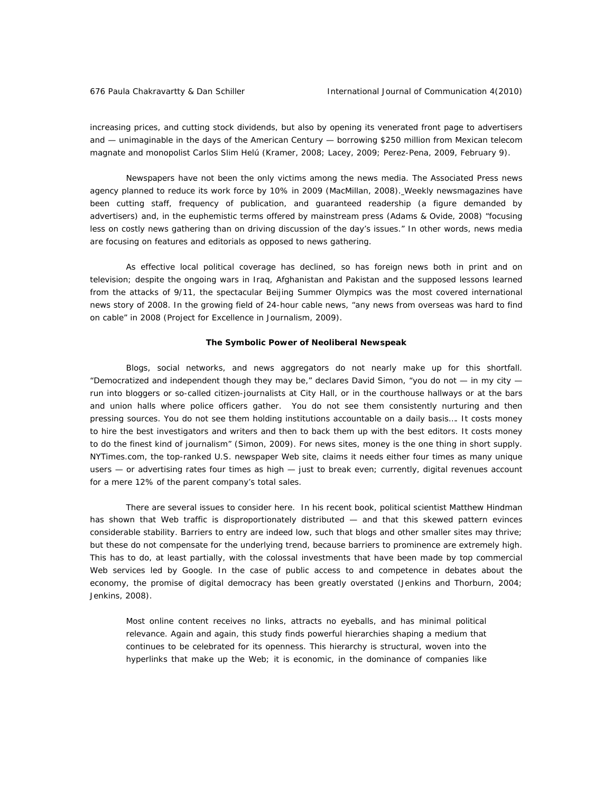increasing prices, and cutting stock dividends, but also by opening its venerated front page to advertisers and — unimaginable in the days of the American Century — borrowing \$250 million from Mexican telecom magnate and monopolist Carlos Slim Helú (Kramer, 2008; Lacey, 2009; Perez-Pena, 2009, February 9).

Newspapers have not been the only victims among the news media. The Associated Press news agency planned to reduce its work force by 10% in 2009 (MacMillan, 2008). Weekly newsmagazines have been cutting staff, frequency of publication, and guaranteed readership (a figure demanded by advertisers) and, in the euphemistic terms offered by mainstream press (Adams & Ovide, 2008) "focusing less on costly news gathering than on driving discussion of the day's issues." In other words, news media are focusing on features and editorials as opposed to news gathering.

As effective local political coverage has declined, so has foreign news both in print and on television; despite the ongoing wars in Iraq, Afghanistan and Pakistan and the supposed lessons learned from the attacks of 9/11, the spectacular Beijing Summer Olympics was the most covered international news story of 2008. In the growing field of 24-hour cable news, "any news from overseas was hard to find on cable" in 2008 (Project for Excellence in Journalism, 2009).

#### **The Symbolic Power of Neoliberal Newspeak**

Blogs, social networks, and news aggregators do not nearly make up for this shortfall. "Democratized and independent though they may be," declares David Simon, "you do not — in my city run into bloggers or so-called citizen-journalists at City Hall, or in the courthouse hallways or at the bars and union halls where police officers gather. You do not see them consistently nurturing and then pressing sources. You do not see them holding institutions accountable on a daily basis…. It costs money to hire the best investigators and writers and then to back them up with the best editors. It costs money to do the finest kind of journalism" (Simon, 2009). For news sites, money is the one thing in short supply. NYTimes.com, the top-ranked U.S. newspaper Web site, claims it needs either four times as many unique users — or advertising rates four times as high — just to break even; currently, digital revenues account for a mere 12% of the parent company's total sales.

There are several issues to consider here. In his recent book, political scientist Matthew Hindman has shown that Web traffic is disproportionately distributed — and that this skewed pattern evinces considerable stability. Barriers to entry are indeed low, such that blogs and other smaller sites may thrive; but these do not compensate for the underlying trend, because barriers to prominence are extremely high. This has to do, at least partially, with the colossal investments that have been made by top commercial Web services led by Google. In the case of public access to and competence in debates about the economy, the promise of digital democracy has been greatly overstated (Jenkins and Thorburn, 2004; Jenkins, 2008).

Most online content receives no links, attracts no eyeballs, and has minimal political relevance. Again and again, this study finds powerful hierarchies shaping a medium that continues to be celebrated for its openness. This hierarchy is structural, woven into the hyperlinks that make up the Web; it is economic, in the dominance of companies like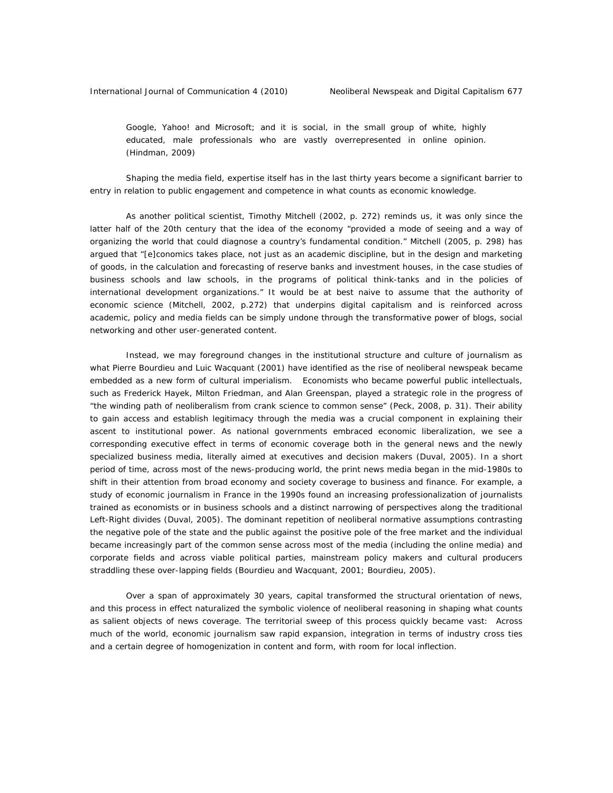Google, Yahoo! and Microsoft; and it is social, in the small group of white, highly educated, male professionals who are vastly overrepresented in online opinion. (Hindman, 2009)

Shaping the media field, expertise itself has in the last thirty years become a significant barrier to entry in relation to public engagement and competence in what counts as economic knowledge.

As another political scientist, Timothy Mitchell (2002, p. 272) reminds us, it was only since the latter half of the 20th century that the idea of the economy "provided a mode of seeing and a way of organizing the world that could diagnose a country's fundamental condition." Mitchell (2005, p. 298) has argued that "[e]conomics takes place, not just as an academic discipline, but in the design and marketing of goods, in the calculation and forecasting of reserve banks and investment houses, in the case studies of business schools and law schools, in the programs of political think-tanks and in the policies of international development organizations." It would be at best naive to assume that the authority of economic science (Mitchell, 2002, p.272) that underpins digital capitalism and is reinforced across academic, policy and media fields can be simply undone through the transformative power of blogs, social networking and other user-generated content.

Instead, we may foreground changes in the institutional structure and culture of journalism as what Pierre Bourdieu and Luic Wacquant (2001) have identified as the rise of neoliberal newspeak became embedded as a new form of cultural imperialism. Economists who became powerful public intellectuals, such as Frederick Hayek, Milton Friedman, and Alan Greenspan, played a strategic role in the progress of "the winding path of neoliberalism from crank science to common sense" (Peck, 2008, p. 31). Their ability to gain access and establish legitimacy through the media was a crucial component in explaining their ascent to institutional power. As national governments embraced economic liberalization, we see a corresponding executive effect in terms of economic coverage both in the general news and the newly specialized business media, literally aimed at executives and decision makers (Duval, 2005). In a short period of time, across most of the news-producing world, the print news media began in the mid-1980s to shift in their attention from broad economy and society coverage to business and finance. For example, a study of economic journalism in France in the 1990s found an increasing professionalization of journalists trained as economists or in business schools and a distinct narrowing of perspectives along the traditional Left-Right divides (Duval, 2005). The dominant repetition of neoliberal normative assumptions contrasting the negative pole of the state and the public against the positive pole of the free market and the individual became increasingly part of the common sense across most of the media (including the online media) and corporate fields and across viable political parties, mainstream policy makers and cultural producers straddling these over-lapping fields (Bourdieu and Wacquant, 2001; Bourdieu, 2005).

Over a span of approximately 30 years, capital transformed the structural orientation of news, and this process in effect naturalized the symbolic violence of neoliberal reasoning in shaping what counts as salient objects of news coverage. The territorial sweep of this process quickly became vast: Across much of the world, economic journalism saw rapid expansion, integration in terms of industry cross ties and a certain degree of homogenization in content and form, with room for local inflection.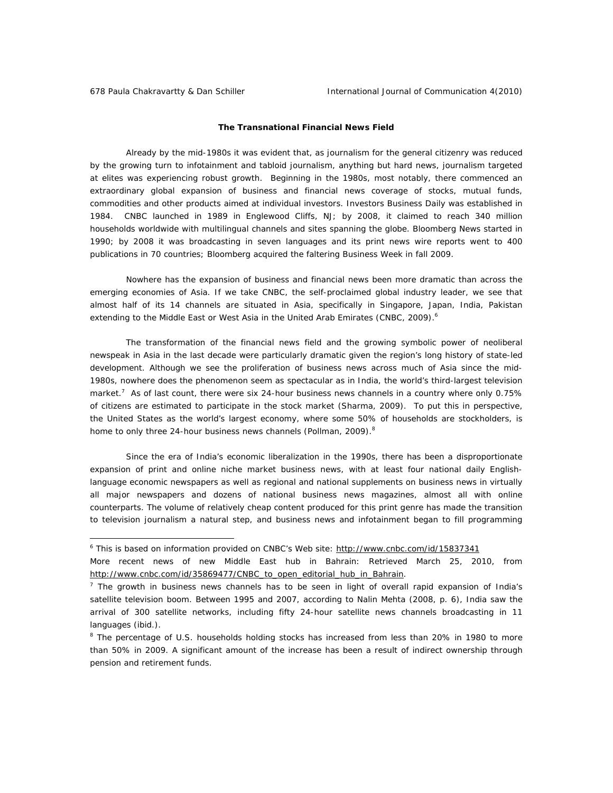## **The Transnational Financial News Field**

Already by the mid-1980s it was evident that, as journalism for the general citizenry was reduced by the growing turn to infotainment and tabloid journalism, anything but hard news, journalism targeted at elites was experiencing robust growth. Beginning in the 1980s, most notably, there commenced an extraordinary global expansion of business and financial news coverage of stocks, mutual funds, commodities and other products aimed at individual investors. Investors Business Daily was established in 1984. CNBC launched in 1989 in Englewood Cliffs, NJ; by 2008, it claimed to reach 340 million households worldwide with multilingual channels and sites spanning the globe. Bloomberg News started in 1990; by 2008 it was broadcasting in seven languages and its print news wire reports went to 400 publications in 70 countries; Bloomberg acquired the faltering Business Week in fall 2009.

Nowhere has the expansion of business and financial news been more dramatic than across the emerging economies of Asia. If we take CNBC, the self-proclaimed global industry leader, we see that almost half of its 14 channels are situated in Asia, specifically in Singapore, Japan, India, Pakistan extending to the Middle East or West Asia in the United Arab Emirates (CNBC, 2009).<sup>6</sup>

The transformation of the financial news field and the growing symbolic power of neoliberal newspeak in Asia in the last decade were particularly dramatic given the region's long history of state-led development. Although we see the proliferation of business news across much of Asia since the mid-1980s, nowhere does the phenomenon seem as spectacular as in India, the world's third-largest television market.<sup>7</sup> As of last count, there were six 24-hour business news channels in a country where only 0.75% of citizens are estimated to participate in the stock market (Sharma, 2009). To put this in perspective, the United States as the world's largest economy, where some 50% of households are stockholders, is home to only three 24-hour business news channels (Pollman, 2009).<sup>8</sup>

Since the era of India's economic liberalization in the 1990s, there has been a disproportionate expansion of print and online niche market business news, with at least four national daily Englishlanguage economic newspapers as well as regional and national supplements on business news in virtually all major newspapers and dozens of national business news magazines, almost all with online counterparts. The volume of relatively cheap content produced for this print genre has made the transition to television journalism a natural step, and business news and infotainment began to fill programming

<sup>&</sup>lt;sup>6</sup> This is based on information provided on CNBC's Web site: http://www.cnbc.com/id/15837341

More recent news of new Middle East hub in Bahrain: Retrieved March 25, 2010, from http://www.cnbc.com/id/35869477/CNBC\_to\_open\_editorial\_hub\_in\_Bahrain.

 $<sup>7</sup>$  The growth in business news channels has to be seen in light of overall rapid expansion of India's</sup> satellite television boom. Between 1995 and 2007, according to Nalin Mehta (2008, p. 6), India saw the arrival of 300 satellite networks, including fifty 24-hour satellite news channels broadcasting in 11 languages (ibid.).

<sup>&</sup>lt;sup>8</sup> The percentage of U.S. households holding stocks has increased from less than 20% in 1980 to more than 50% in 2009. A significant amount of the increase has been a result of indirect ownership through pension and retirement funds.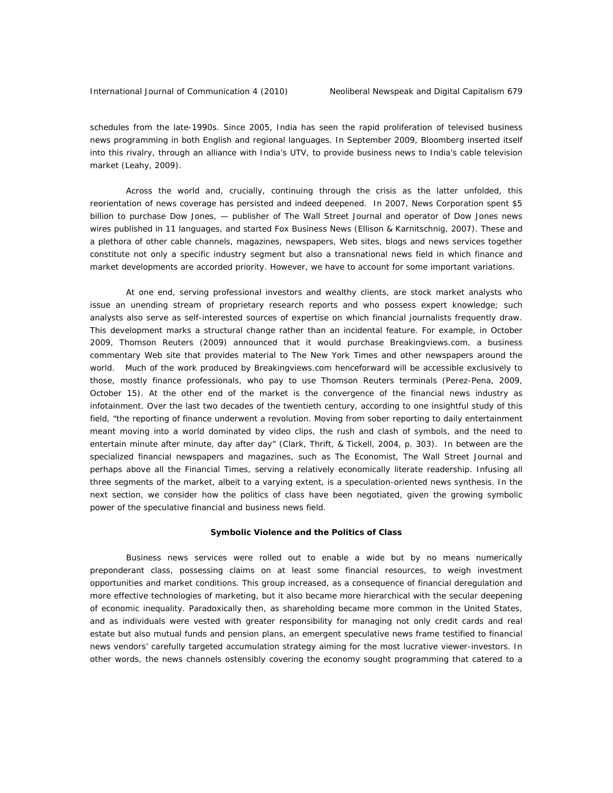schedules from the late-1990s. Since 2005, India has seen the rapid proliferation of televised business news programming in both English and regional languages. In September 2009, Bloomberg inserted itself into this rivalry, through an alliance with India's UTV, to provide business news to India's cable television market (Leahy, 2009).

Across the world and, crucially, continuing through the crisis as the latter unfolded, this reorientation of news coverage has persisted and indeed deepened. In 2007, News Corporation spent \$5 billion to purchase Dow Jones, — publisher of *The Wall Street Journal* and operator of Dow Jones news wires published in 11 languages, and started *Fox Business News* (Ellison & Karnitschnig, 2007). These and a plethora of other cable channels, magazines, newspapers, Web sites, blogs and news services together constitute not only a specific industry segment but also a transnational news field in which finance and market developments are accorded priority. However, we have to account for some important variations.

At one end, serving professional investors and wealthy clients, are stock market analysts who issue an unending stream of proprietary research reports and who possess expert knowledge; such analysts also serve as self-interested sources of expertise on which financial journalists frequently draw. This development marks a structural change rather than an incidental feature. For example, in October 2009, Thomson Reuters (2009) announced that it would purchase Breakingviews.com, a business commentary Web site that provides material to *The New York Times* and other newspapers around the world. Much of the work produced by Breakingviews.com henceforward will be accessible exclusively to those, mostly finance professionals, who pay to use Thomson Reuters terminals (Perez-Pena, 2009, October 15). At the other end of the market is the convergence of the financial news industry as infotainment. Over the last two decades of the twentieth century, according to one insightful study of this field, "the reporting of finance underwent a revolution. Moving from sober reporting to daily entertainment meant moving into a world dominated by video clips, the rush and clash of symbols, and the need to entertain minute after minute, day after day" (Clark, Thrift, & Tickell, 2004, p. 303). In between are the specialized financial newspapers and magazines, such as *The Economist*, *The Wall Street Journal* and perhaps above all the *Financial Times*, serving a relatively economically literate readership. Infusing all three segments of the market, albeit to a varying extent, is a speculation-oriented news synthesis. In the next section, we consider how the politics of class have been negotiated, given the growing symbolic power of the speculative financial and business news field.

## **Symbolic Violence and the Politics of Class**

Business news services were rolled out to enable a wide but by no means numerically preponderant class, possessing claims on at least some financial resources, to weigh investment opportunities and market conditions. This group increased, as a consequence of financial deregulation and more effective technologies of marketing, but it also became more hierarchical with the secular deepening of economic inequality. Paradoxically then, as shareholding became more common in the United States, and as individuals were vested with greater responsibility for managing not only credit cards and real estate but also mutual funds and pension plans, an emergent speculative news frame testified to financial news vendors' carefully targeted accumulation strategy aiming for the most lucrative viewer-investors. In other words, the news channels ostensibly covering the economy sought programming that catered to a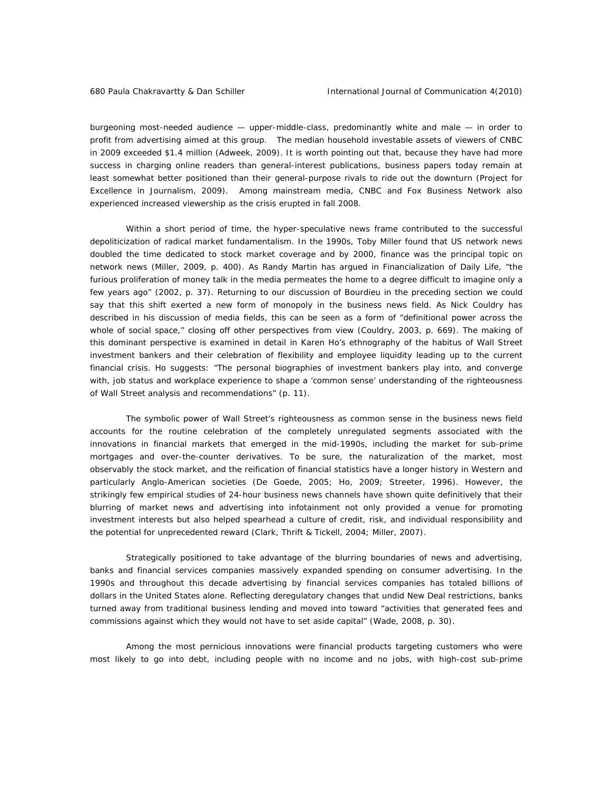burgeoning most-needed audience — upper-middle-class, predominantly white and male — in order to profit from advertising aimed at this group. The median household investable assets of viewers of CNBC in 2009 exceeded \$1.4 million (*Adweek*, 2009). It is worth pointing out that, because they have had more success in charging online readers than general-interest publications, business papers today remain at least somewhat better positioned than their general-purpose rivals to ride out the downturn (Project for Excellence in Journalism, 2009). Among mainstream media, CNBC and Fox Business Network also experienced increased viewership as the crisis erupted in fall 2008.

Within a short period of time, the hyper-speculative news frame contributed to the successful depoliticization of radical market fundamentalism. In the 1990s, Toby Miller found that US network news doubled the time dedicated to stock market coverage and by 2000, finance was the principal topic on network news (Miller, 2009, p. 400). As Randy Martin has argued in *Financialization of Daily Life,* "the furious proliferation of money talk in the media permeates the home to a degree difficult to imagine only a few years ago" (2002, p. 37). Returning to our discussion of Bourdieu in the preceding section we could say that this shift exerted a new form of monopoly in the business news field. As Nick Couldry has described in his discussion of media fields, this can be seen as a form of "definitional power across the whole of social space," closing off other perspectives from view (Couldry, 2003, p. 669). The making of this dominant perspective is examined in detail in Karen Ho's ethnography of the habitus of Wall Street investment bankers and their celebration of flexibility and employee liquidity leading up to the current financial crisis. Ho suggests: "The personal biographies of investment bankers play into, and converge with, job status and workplace experience to shape a 'common sense' understanding of the righteousness of Wall Street analysis and recommendations" (p. 11).

The symbolic power of Wall Street's righteousness as common sense in the business news field accounts for the routine celebration of the completely unregulated segments associated with the innovations in financial markets that emerged in the mid-1990s, including the market for sub-prime mortgages and over-the-counter derivatives. To be sure, the naturalization of the market, most observably the stock market, and the reification of financial statistics have a longer history in Western and particularly Anglo-American societies (De Goede, 2005; Ho, 2009; Streeter, 1996). However, the strikingly few empirical studies of 24-hour business news channels have shown quite definitively that their blurring of market news and advertising into infotainment not only provided a venue for promoting investment interests but also helped spearhead a culture of credit, risk, and individual responsibility and the potential for unprecedented reward (Clark, Thrift & Tickell, 2004; Miller, 2007).

Strategically positioned to take advantage of the blurring boundaries of news and advertising, banks and financial services companies massively expanded spending on consumer advertising. In the 1990s and throughout this decade advertising by financial services companies has totaled billions of dollars in the United States alone. Reflecting deregulatory changes that undid New Deal restrictions, banks turned away from traditional business lending and moved into toward "activities that generated fees and commissions against which they would not have to set aside capital" (Wade, 2008, p. 30).

Among the most pernicious innovations were financial products targeting customers who were most likely to go into debt, including people with no income and no jobs, with high-cost sub-prime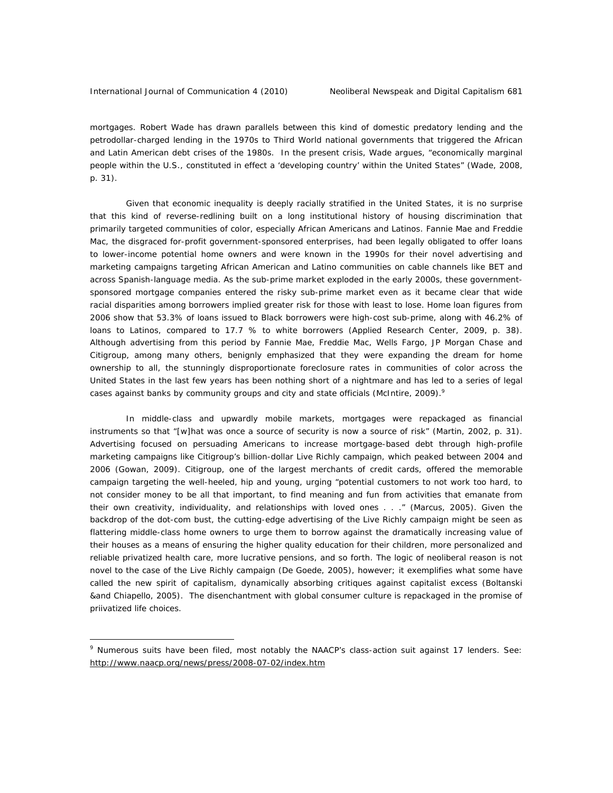mortgages. Robert Wade has drawn parallels between this kind of domestic predatory lending and the petrodollar-charged lending in the 1970s to Third World national governments that triggered the African and Latin American debt crises of the 1980s. In the present crisis, Wade argues, "economically marginal people within the U.S., constituted in effect a 'developing country' within the United States" (Wade, 2008, p. 31).

Given that economic inequality is deeply racially stratified in the United States, it is no surprise that this kind of reverse-redlining built on a long institutional history of housing discrimination that primarily targeted communities of color, especially African Americans and Latinos. Fannie Mae and Freddie Mac, the disgraced for-profit government-sponsored enterprises, had been legally obligated to offer loans to lower-income potential home owners and were known in the 1990s for their novel advertising and marketing campaigns targeting African American and Latino communities on cable channels like BET and across Spanish-language media. As the sub-prime market exploded in the early 2000s, these governmentsponsored mortgage companies entered the risky sub-prime market even as it became clear that wide racial disparities among borrowers implied greater risk for those with least to lose. Home loan figures from 2006 show that 53.3% of loans issued to Black borrowers were high-cost sub-prime, along with 46.2% of loans to Latinos, compared to 17.7 % to white borrowers (Applied Research Center, 2009, p. 38). Although advertising from this period by Fannie Mae, Freddie Mac, Wells Fargo, JP Morgan Chase and Citigroup, among many others, benignly emphasized that they were expanding the dream for home ownership to all, the stunningly disproportionate foreclosure rates in communities of color across the United States in the last few years has been nothing short of a nightmare and has led to a series of legal cases against banks by community groups and city and state officials (McIntire, 2009). $^9$ 

In middle-class and upwardly mobile markets, mortgages were repackaged as financial instruments so that "[w]hat was once a source of security is now a source of risk" (Martin, 2002, p. 31). Advertising focused on persuading Americans to increase mortgage-based debt through high-profile marketing campaigns like Citigroup's billion-dollar Live Richly campaign, which peaked between 2004 and 2006 (Gowan, 2009). Citigroup, one of the largest merchants of credit cards, offered the memorable campaign targeting the well-heeled, hip and young, urging "potential customers to not work too hard, to not consider money to be all that important, to find meaning and fun from activities that emanate from their own creativity, individuality, and relationships with loved ones . . ." (Marcus, 2005). Given the backdrop of the dot-com bust, the cutting-edge advertising of the Live Richly campaign might be seen as flattering middle-class home owners to urge them to borrow against the dramatically increasing value of their houses as a means of ensuring the higher quality education for their children, more personalized and reliable privatized health care, more lucrative pensions, and so forth. The logic of neoliberal reason is not novel to the case of the Live Richly campaign (De Goede, 2005), however; it exemplifies what some have called the new spirit of capitalism, dynamically absorbing critiques against capitalist excess (Boltanski &and Chiapello, 2005). The disenchantment with global consumer culture is repackaged in the promise of priivatized life choices.

<sup>&</sup>lt;sup>9</sup> Numerous suits have been filed, most notably the NAACP's class-action suit against 17 lenders. See: http://www.naacp.org/news/press/2008-07-02/index.htm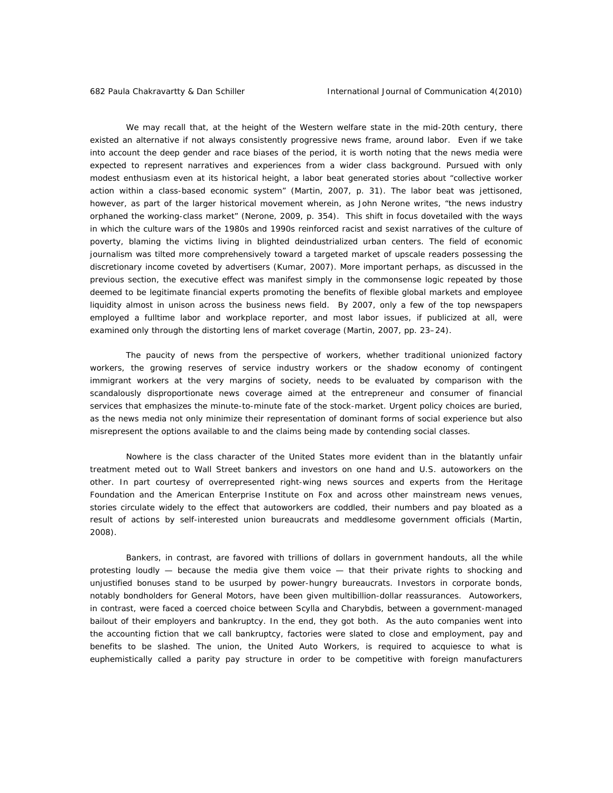We may recall that, at the height of the Western welfare state in the mid-20th century, there existed an alternative if not always consistently progressive news frame, around labor. Even if we take into account the deep gender and race biases of the period, it is worth noting that the news media were expected to represent narratives and experiences from a wider class background. Pursued with only modest enthusiasm even at its historical height, a labor beat generated stories about "collective worker action within a class-based economic system" (Martin, 2007, p. 31). The labor beat was jettisoned, however, as part of the larger historical movement wherein, as John Nerone writes, "the news industry orphaned the working-class market" (Nerone, 2009, p. 354). This shift in focus dovetailed with the ways in which the culture wars of the 1980s and 1990s reinforced racist and sexist narratives of the culture of poverty, blaming the victims living in blighted deindustrialized urban centers. The field of economic journalism was tilted more comprehensively toward a targeted market of upscale readers possessing the discretionary income coveted by advertisers (Kumar, 2007). More important perhaps, as discussed in the previous section, the executive effect was manifest simply in the commonsense logic repeated by those deemed to be legitimate financial experts promoting the benefits of flexible global markets and employee liquidity almost in unison across the business news field. By 2007, only a few of the top newspapers employed a fulltime labor and workplace reporter, and most labor issues, if publicized at all, were examined only through the distorting lens of market coverage (Martin, 2007, pp. 23–24).

The paucity of news from the perspective of workers, whether traditional unionized factory workers, the growing reserves of service industry workers or the shadow economy of contingent immigrant workers at the very margins of society, needs to be evaluated by comparison with the scandalously disproportionate news coverage aimed at the entrepreneur and consumer of financial services that emphasizes the minute-to-minute fate of the stock-market. Urgent policy choices are buried, as the news media not only minimize their representation of dominant forms of social experience but also misrepresent the options available to and the claims being made by contending social classes.

Nowhere is the class character of the United States more evident than in the blatantly unfair treatment meted out to Wall Street bankers and investors on one hand and U.S. autoworkers on the other. In part courtesy of overrepresented right-wing news sources and experts from the Heritage Foundation and the American Enterprise Institute on Fox and across other mainstream news venues, stories circulate widely to the effect that autoworkers are coddled, their numbers and pay bloated as a result of actions by self-interested union bureaucrats and meddlesome government officials (Martin, 2008).

Bankers, in contrast, are favored with trillions of dollars in government handouts, all the while protesting loudly — because the media give them voice — that their private rights to shocking and unjustified bonuses stand to be usurped by power-hungry bureaucrats. Investors in corporate bonds, notably bondholders for General Motors, have been given multibillion-dollar reassurances. Autoworkers, in contrast, were faced a coerced choice between Scylla and Charybdis, between a government-managed bailout of their employers and bankruptcy. In the end, they got both. As the auto companies went into the accounting fiction that we call bankruptcy, factories were slated to close and employment, pay and benefits to be slashed. The union, the United Auto Workers, is required to acquiesce to what is euphemistically called a parity pay structure in order to be competitive with foreign manufacturers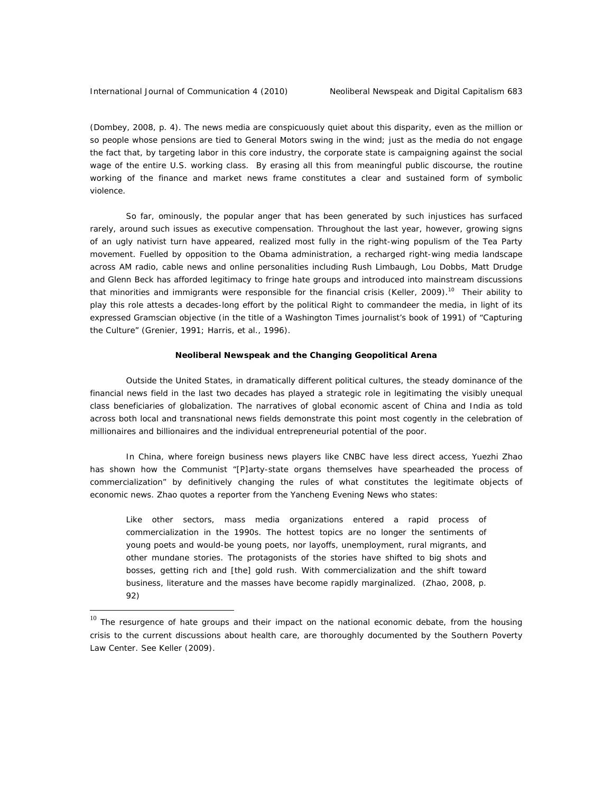(Dombey, 2008, p. 4). The news media are conspicuously quiet about this disparity, even as the million or so people whose pensions are tied to General Motors swing in the wind; just as the media do not engage the fact that, by targeting labor in this core industry, the corporate state is campaigning against the social wage of the entire U.S. working class. By erasing all this from meaningful public discourse, the routine working of the finance and market news frame constitutes a clear and sustained form of symbolic violence.

So far, ominously, the popular anger that has been generated by such injustices has surfaced rarely, around such issues as executive compensation. Throughout the last year, however, growing signs of an ugly nativist turn have appeared, realized most fully in the right-wing populism of the Tea Party movement. Fuelled by opposition to the Obama administration, a recharged right-wing media landscape across AM radio, cable news and online personalities including Rush Limbaugh, Lou Dobbs, Matt Drudge and Glenn Beck has afforded legitimacy to fringe hate groups and introduced into mainstream discussions that minorities and immigrants were responsible for the financial crisis (Keller, 2009).<sup>10</sup> Their ability to play this role attests a decades-long effort by the political Right to commandeer the media, in light of its expressed Gramscian objective (in the title of a *Washington Times* journalist's book of 1991) of "Capturing the Culture" (Grenier, 1991; Harris, et al., 1996).

### **Neoliberal Newspeak and the Changing Geopolitical Arena**

Outside the United States, in dramatically different political cultures, the steady dominance of the financial news field in the last two decades has played a strategic role in legitimating the visibly unequal class beneficiaries of globalization. The narratives of global economic ascent of China and India as told across both local and transnational news fields demonstrate this point most cogently in the celebration of millionaires and billionaires and the individual entrepreneurial potential of the poor.

In China, where foreign business news players like CNBC have less direct access, Yuezhi Zhao has shown how the Communist "[P]arty-state organs themselves have spearheaded the process of commercialization" by definitively changing the rules of what constitutes the legitimate objects of economic news. Zhao quotes a reporter from the *Yancheng Evening News* who states:

Like other sectors, mass media organizations entered a rapid process of commercialization in the 1990s. The hottest topics are no longer the sentiments of young poets and would-be young poets, nor layoffs, unemployment, rural migrants, and other mundane stories. The protagonists of the stories have shifted to big shots and bosses, getting rich and [the] gold rush. With commercialization and the shift toward business, literature and the masses have become rapidly marginalized. (Zhao, 2008, p. 92)

 $10$  The resurgence of hate groups and their impact on the national economic debate, from the housing crisis to the current discussions about health care, are thoroughly documented by the Southern Poverty Law Center. See Keller (2009).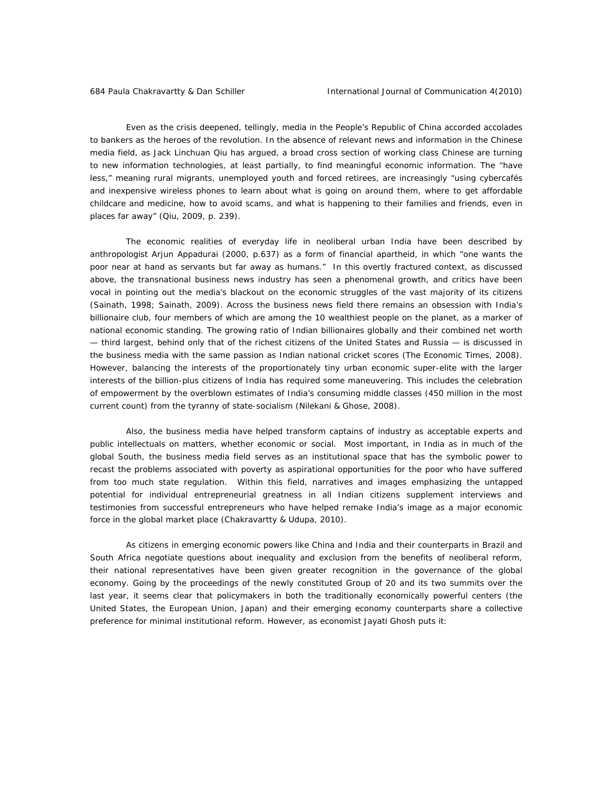Even as the crisis deepened, tellingly, media in the People's Republic of China accorded accolades to bankers as the heroes of the revolution. In the absence of relevant news and information in the Chinese media field, as Jack Linchuan Qiu has argued, a broad cross section of working class Chinese are turning to new information technologies, at least partially, to find meaningful economic information. The "have less," meaning rural migrants, unemployed youth and forced retirees, are increasingly "using cybercafés and inexpensive wireless phones to learn about what is going on around them, where to get affordable childcare and medicine, how to avoid scams, and what is happening to their families and friends, even in places far away" (Qiu, 2009, p. 239).

The economic realities of everyday life in neoliberal urban India have been described by anthropologist Arjun Appadurai (2000, p.637) as a form of financial apartheid, in which "one wants the poor near at hand as servants but far away as humans." In this overtly fractured context, as discussed above, the transnational business news industry has seen a phenomenal growth, and critics have been vocal in pointing out the media's blackout on the economic struggles of the vast majority of its citizens (Sainath, 1998; Sainath, 2009). Across the business news field there remains an obsession with India's billionaire club, four members of which are among the 10 wealthiest people on the planet, as a marker of national economic standing. The growing ratio of Indian billionaires globally and their combined net worth — third largest, behind only that of the richest citizens of the United States and Russia — is discussed in the business media with the same passion as Indian national cricket scores (*The Economic Times*, 2008). However, balancing the interests of the proportionately tiny urban economic super-elite with the larger interests of the billion-plus citizens of India has required some maneuvering. This includes the celebration of empowerment by the overblown estimates of India's consuming middle classes (450 million in the most current count) from the tyranny of state-socialism (Nilekani & Ghose, 2008).

Also, the business media have helped transform captains of industry as acceptable experts and public intellectuals on matters, whether economic or social. Most important, in India as in much of the global South, the business media field serves as an institutional space that has the symbolic power to recast the problems associated with poverty as aspirational opportunities for the poor who have suffered from too much state regulation. Within this field, narratives and images emphasizing the untapped potential for individual entrepreneurial greatness in all Indian citizens supplement interviews and testimonies from successful entrepreneurs who have helped remake India's image as a major economic force in the global market place (Chakravartty & Udupa, 2010).

As citizens in emerging economic powers like China and India and their counterparts in Brazil and South Africa negotiate questions about inequality and exclusion from the benefits of neoliberal reform, their national representatives have been given greater recognition in the governance of the global economy. Going by the proceedings of the newly constituted Group of 20 and its two summits over the last year, it seems clear that policymakers in both the traditionally economically powerful centers (the United States, the European Union, Japan) and their emerging economy counterparts share a collective preference for minimal institutional reform. However, as economist Jayati Ghosh puts it: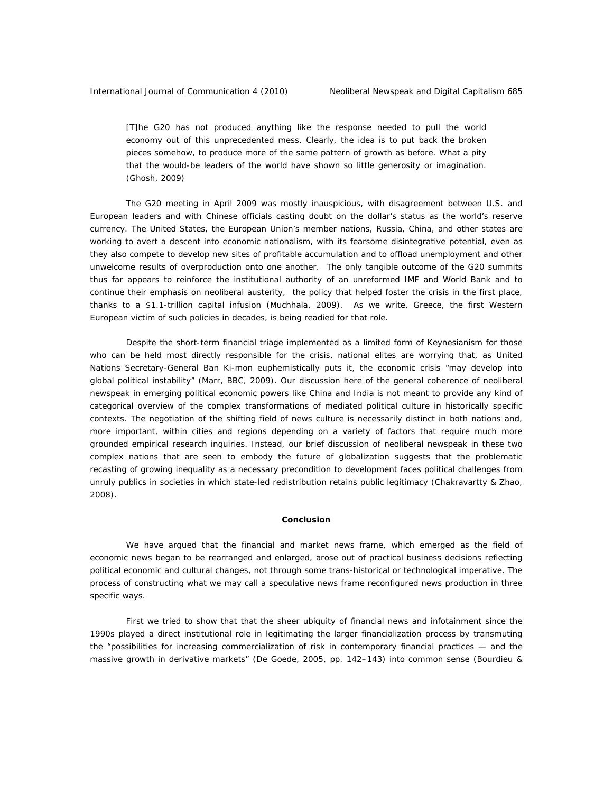[T]he G20 has not produced anything like the response needed to pull the world economy out of this unprecedented mess. Clearly, the idea is to put back the broken pieces somehow, to produce more of the same pattern of growth as before. What a pity that the would-be leaders of the world have shown so little generosity or imagination. (Ghosh, 2009)

The G20 meeting in April 2009 was mostly inauspicious, with disagreement between U.S. and European leaders and with Chinese officials casting doubt on the dollar's status as the world's reserve currency. The United States, the European Union's member nations, Russia, China, and other states are working to avert a descent into economic nationalism, with its fearsome disintegrative potential, even as they also compete to develop new sites of profitable accumulation and to offload unemployment and other unwelcome results of overproduction onto one another. The only tangible outcome of the G20 summits thus far appears to reinforce the institutional authority of an unreformed IMF and World Bank and to continue their emphasis on neoliberal austerity, the policy that helped foster the crisis in the first place, thanks to a \$1.1-trillion capital infusion (Muchhala, 2009). As we write, Greece, the first Western European victim of such policies in decades, is being readied for that role.

Despite the short-term financial triage implemented as a limited form of Keynesianism for those who can be held most directly responsible for the crisis, national elites are worrying that, as United Nations Secretary-General Ban Ki-mon euphemistically puts it, the economic crisis "may develop into global political instability" (Marr, BBC, 2009). Our discussion here of the general coherence of neoliberal newspeak in emerging political economic powers like China and India is not meant to provide any kind of categorical overview of the complex transformations of mediated political culture in historically specific contexts. The negotiation of the shifting field of news culture is necessarily distinct in both nations and, more important, within cities and regions depending on a variety of factors that require much more grounded empirical research inquiries. Instead, our brief discussion of neoliberal newspeak in these two complex nations that are seen to embody the future of globalization suggests that the problematic recasting of growing inequality as a necessary precondition to development faces political challenges from unruly publics in societies in which state-led redistribution retains public legitimacy (Chakravartty & Zhao, 2008).

## **Conclusion**

We have argued that the financial and market news frame, which emerged as the field of economic news began to be rearranged and enlarged, arose out of practical business decisions reflecting political economic and cultural changes, not through some trans-historical or technological imperative. The process of constructing what we may call a speculative news frame reconfigured news production in three specific ways.

First we tried to show that that the sheer ubiquity of financial news and infotainment since the 1990s played a direct institutional role in legitimating the larger financialization process by transmuting the "possibilities for increasing commercialization of risk in contemporary financial practices — and the massive growth in derivative markets" (De Goede, 2005, pp. 142–143) into common sense (Bourdieu &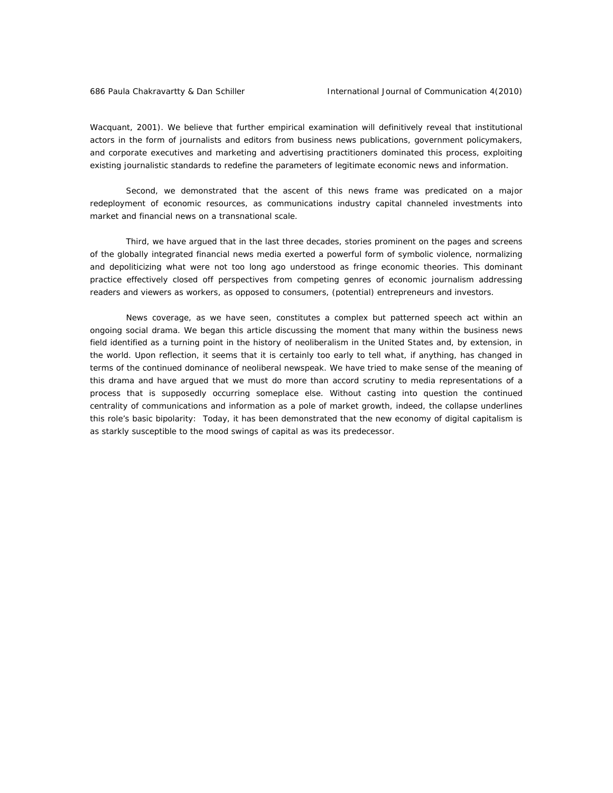Wacquant, 2001). We believe that further empirical examination will definitively reveal that institutional actors in the form of journalists and editors from business news publications, government policymakers, and corporate executives and marketing and advertising practitioners dominated this process, exploiting existing journalistic standards to redefine the parameters of legitimate economic news and information.

Second, we demonstrated that the ascent of this news frame was predicated on a major redeployment of economic resources, as communications industry capital channeled investments into market and financial news on a transnational scale.

Third, we have argued that in the last three decades, stories prominent on the pages and screens of the globally integrated financial news media exerted a powerful form of symbolic violence, normalizing and depoliticizing what were not too long ago understood as fringe economic theories. This dominant practice effectively closed off perspectives from competing genres of economic journalism addressing readers and viewers as workers, as opposed to consumers, (potential) entrepreneurs and investors.

News coverage, as we have seen, constitutes a complex but patterned speech act within an ongoing social drama. We began this article discussing the moment that many within the business news field identified as a turning point in the history of neoliberalism in the United States and, by extension, in the world. Upon reflection, it seems that it is certainly too early to tell what, if anything, has changed in terms of the continued dominance of neoliberal newspeak. We have tried to make sense of the meaning of this drama and have argued that we must do more than accord scrutiny to media representations of a process that is supposedly occurring someplace else. Without casting into question the continued centrality of communications and information as a pole of market growth, indeed, the collapse underlines this role's basic bipolarity: Today, it has been demonstrated that the new economy of digital capitalism is as starkly susceptible to the mood swings of capital as was its predecessor.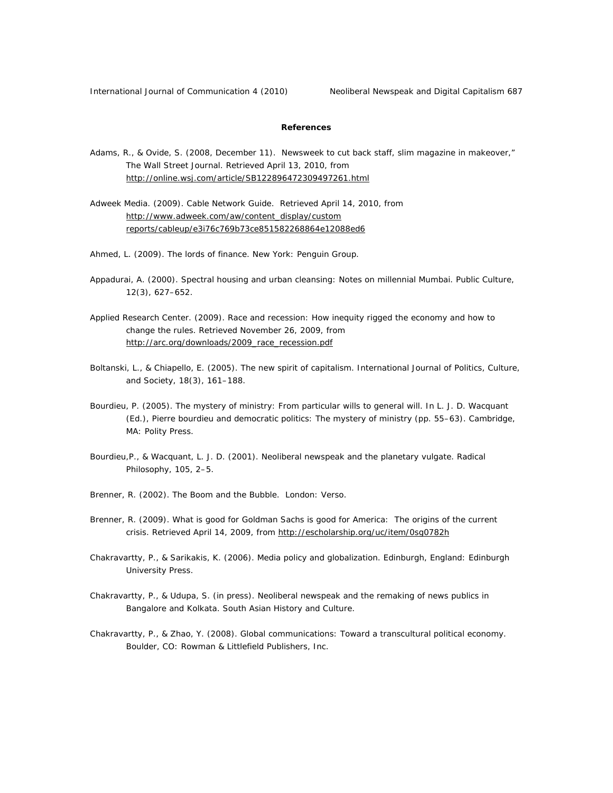International Journal of Communication 4 (2010) Neoliberal Newspeak and Digital Capitalism 687

# **References**

- Adams, R., & Ovide, S. (2008, December 11). Newsweek to cut back staff, slim magazine in makeover," *The Wall Street Journal.* Retrieved April 13, 2010, from http://online.wsj.com/article/SB122896472309497261.html
- Adweek Media. (2009). Cable Network Guide. Retrieved April 14, 2010, from http://www.adweek.com/aw/content\_display/custom reports/cableup/e3i76c769b73ce851582268864e12088ed6
- Ahmed, L. (2009). *The lords of finance*. New York: Penguin Group.
- Appadurai, A. (2000). Spectral housing and urban cleansing: Notes on millennial Mumbai. *Public Culture, 12*(3), 627–652.
- Applied Research Center. (2009). *Race and recession: How inequity rigged the economy and how to change the rules.* Retrieved November 26, 2009, from http://arc.org/downloads/2009\_race\_recession.pdf
- Boltanski, L., & Chiapello, E. (2005). The new spirit of capitalism. *International Journal of Politics, Culture, and Society, 18*(3), 161–188.
- Bourdieu, P. (2005). The mystery of ministry: From particular wills to general will. In L. J. D. Wacquant (Ed.), *Pierre bourdieu and democratic politics: The mystery of ministry* (pp. 55–63). Cambridge, MA: Polity Press.
- Bourdieu,P., & Wacquant, L. J. D. (2001). Neoliberal newspeak and the planetary vulgate. *Radical Philosophy, 105*, 2–5.
- Brenner, R. (2002). *The Boom and the Bubble*. London: Verso.
- Brenner, R. (2009). What is good for Goldman Sachs is good for America: The origins of the current crisis. Retrieved April 14, 2009, from http://escholarship.org/uc/item/0sg0782h
- Chakravartty, P., & Sarikakis, K. (2006). *Media policy and globalization*. Edinburgh, England: Edinburgh University Press.
- Chakravartty, P., & Udupa, S. (in press). Neoliberal newspeak and the remaking of news publics in Bangalore and Kolkata. *South Asian History and Culture.*
- Chakravartty, P., & Zhao, Y. (2008). *Global communications: Toward a transcultural political economy*. Boulder, CO: Rowman & Littlefield Publishers, Inc.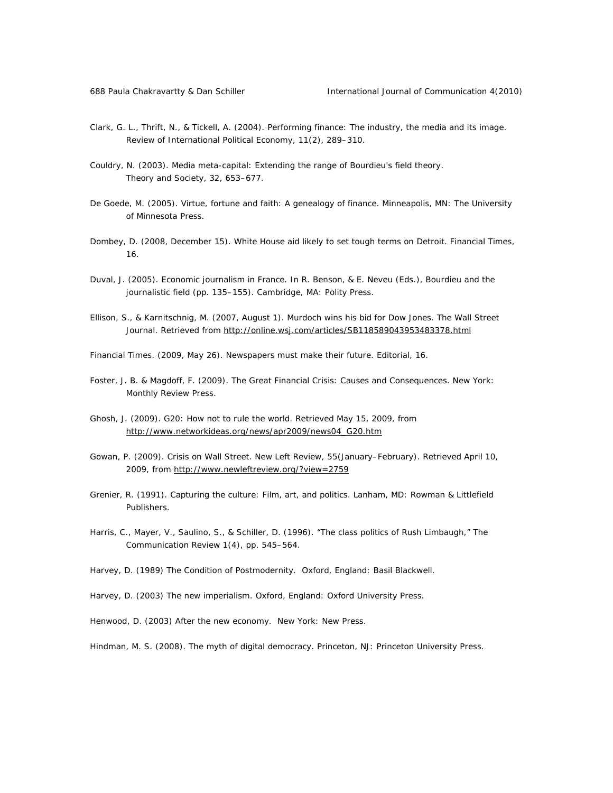- Clark, G. L., Thrift, N., & Tickell, A. (2004). Performing finance: The industry, the media and its image. *Review of International Political Economy, 11*(2), 289–310.
- Couldry, N. (2003). Media meta-capital: Extending the range of Bourdieu's field theory. *Theory and Society, 32*, 653–677.
- De Goede, M. (2005). *Virtue, fortune and faith: A genealogy of finance*. Minneapolis, MN: The University of Minnesota Press.
- Dombey, D. (2008, December 15). White House aid likely to set tough terms on Detroit. *Financial Times, 16*.
- Duval, J. (2005). Economic journalism in France. In R. Benson, & E. Neveu (Eds.), *Bourdieu and the journalistic field* (pp. 135–155). Cambridge, MA: Polity Press.
- Ellison, S., & Karnitschnig, M. (2007, August 1). Murdoch wins his bid for Dow Jones. *The Wall Street Journal.* Retrieved from http://online.wsj.com/articles/SB118589043953483378.html
- *Financial Times*. (2009, May 26). Newspapers must make their future. Editorial, *16*.
- Foster, J. B. & Magdoff, F. (2009). The Great Financial Crisis: Causes and Consequences. New York: *Monthly Review Press.*
- Ghosh, J. (2009). *G20: How not to rule the world.* Retrieved May 15, 2009, from http://www.networkideas.org/news/apr2009/news04\_G20.htm
- Gowan, P. (2009). Crisis on Wall Street. *New Left Review, 55*(January–February). Retrieved April 10, 2009, from http://www.newleftreview.org/?view=2759
- Grenier, R. (1991). *Capturing the culture: Film, art, and politics*. Lanham, MD: Rowman & Littlefield Publishers.
- Harris, C., Mayer, V., Saulino, S., & Schiller, D. (1996). "The class politics of Rush Limbaugh," *The Communication Review 1*(4), pp. 545–564.
- Harvey, D. (1989) *The Condition of Postmodernity*. Oxford, England: Basil Blackwell.
- Harvey, D. (2003) *The new imperialism*. Oxford, England: Oxford University Press.
- Henwood, D. (2003) *After the new economy*. New York: New Press.

Hindman, M. S. (2008). *The myth of digital democracy*. Princeton, NJ: Princeton University Press.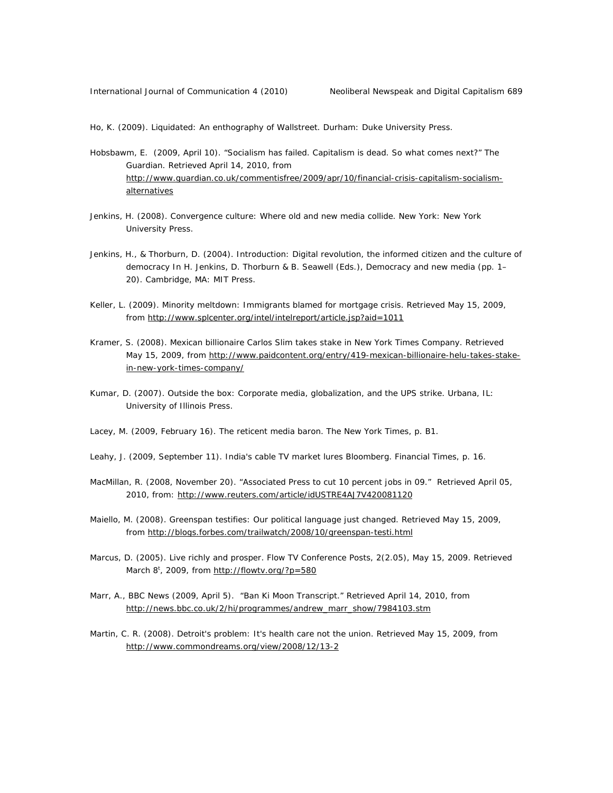Ho, K. (2009). *Liquidated: An enthography of Wallstree*t. Durham: Duke University Press.

- Hobsbawm, E. (2009, April 10). "Socialism has failed. Capitalism is dead. So what comes next?" *The Guardian.* Retrieved April 14, 2010, from http://www.guardian.co.uk/commentisfree/2009/apr/10/financial-crisis-capitalism-socialismalternatives
- Jenkins, H. (2008). *Convergence culture: Where old and new media collide*. New York: New York University Press.
- Jenkins, H., & Thorburn, D. (2004). Introduction: Digital revolution, the informed citizen and the culture of democracy In H. Jenkins, D. Thorburn & B. Seawell (Eds.), *Democracy and new media* (pp. 1– 20). Cambridge, MA: MIT Press.
- Keller, L. (2009). *Minority meltdown: Immigrants blamed for mortgage crisis.* Retrieved May 15, 2009, from http://www.splcenter.org/intel/intelreport/article.jsp?aid=1011
- Kramer, S. (2008). *Mexican billionaire Carlos Slim takes stake in New York Times Company.* Retrieved May 15, 2009, from http://www.paidcontent.org/entry/419-mexican-billionaire-helu-takes-stakein-new-york-times-company/
- Kumar, D. (2007). Outside the box: Corporate media, globalization, and the UPS strike. Urbana, IL: University of Illinois Press.
- Lacey, M. (2009, February 16). The reticent media baron. *The New York Times,* p. B1.
- Leahy, J. (2009, September 11). India's cable TV market lures Bloomberg. *Financial Times,* p. 16.
- MacMillan, R. (2008, November 20). "Associated Press to cut 10 percent jobs in 09." Retrieved April 05, 2010, from: http://www.reuters.com/article/idUSTRE4AJ7V420081120
- Maiello, M. (2008). *Greenspan testifies: Our political language just changed.* Retrieved May 15, 2009, from http://blogs.forbes.com/trailwatch/2008/10/greenspan-testi.html
- Marcus, D. (2005). Live richly and prosper. *Flow TV Conference Posts, 2*(2.05), May 15, 2009. Retrieved March 8<sup>t</sup>, 2009, from http://flowtv.org/?p=580
- Marr, A., BBC News (2009, April 5). "Ban Ki Moon Transcript." Retrieved April 14, 2010, from http://news.bbc.co.uk/2/hi/programmes/andrew\_marr\_show/7984103.stm
- Martin, C. R. (2008). *Detroit's problem: It's health care not the union.* Retrieved May 15, 2009, from http://www.commondreams.org/view/2008/12/13-2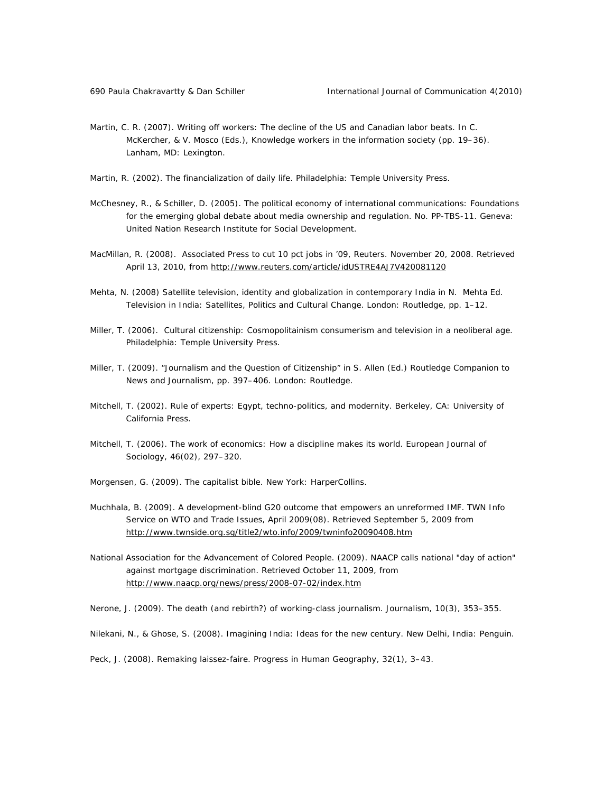- Martin, C. R. (2007). Writing off workers: The decline of the US and Canadian labor beats. In C. McKercher, & V. Mosco (Eds.), *Knowledge workers in the information society* (pp. 19–36). Lanham, MD: Lexington.
- Martin, R. (2002). *The financialization of daily life*. Philadelphia: Temple University Press.
- McChesney, R., & Schiller, D. (2005). *The political economy of international communications: Foundations*  for the emerging global debate about media ownership and regulation. No. PP-TBS-11. Geneva: United Nation Research Institute for Social Development.
- MacMillan, R. (2008). Associated Press to cut 10 pct jobs in '09, *Reuters*. November 20, 2008. Retrieved April 13, 2010, from http://www.reuters.com/article/idUSTRE4AJ7V420081120
- Mehta, N. (2008) Satellite television, identity and globalization in contemporary India in N. Mehta Ed. *Television in India: Satellites, Politics and Cultural Change*. London: Routledge, pp. 1–12.
- Miller, T. (2006). *Cultural citizenship: Cosmopolitainism consumerism and television in a neoliberal age*. Philadelphia: Temple University Press.
- Miller, T. (2009). "Journalism and the Question of Citizenship" in S. Allen (Ed.) Routledge Companion to News and Journalism, pp. 397–406. London: Routledge.
- Mitchell, T. (2002). *Rule of experts: Egypt, techno-politics, and modernity*. Berkeley, CA: University of California Press.
- Mitchell, T. (2006). The work of economics: How a discipline makes its world. *European Journal of Sociology, 46*(02), 297–320.
- Morgensen, G. (2009). *The capitalist bible*. New York: HarperCollins.
- Muchhala, B. (2009). A development-blind G20 outcome that empowers an unreformed IMF. *TWN Info Service on WTO and Trade Issues, April 2009*(08). Retrieved September 5, 2009 from http://www.twnside.org.sg/title2/wto.info/2009/twninfo20090408.htm
- National Association for the Advancement of Colored People. (2009). *NAACP calls national "day of action" against mortgage discrimination.* Retrieved October 11, 2009, from http://www.naacp.org/news/press/2008-07-02/index.htm

Nerone, J. (2009). The death (and rebirth?) of working-class journalism. *Journalism, 10*(3), 353–355.

Nilekani, N., & Ghose, S. (2008). *Imagining India: Ideas for the new century*. New Delhi, India: Penguin.

Peck, J. (2008). Remaking laissez-faire. *Progress in Human Geography, 32*(1), 3–43.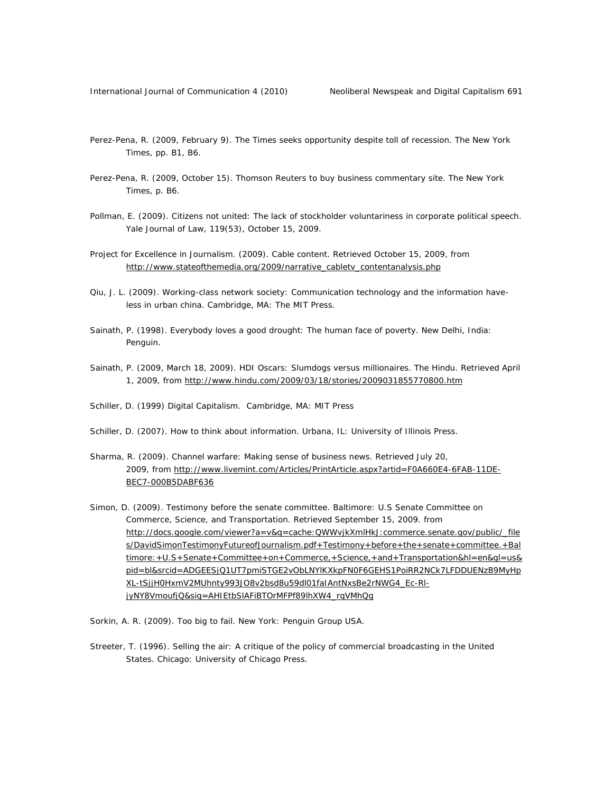- Perez-Pena, R. (2009, February 9). The Times seeks opportunity despite toll of recession. *The New York Times,* pp. B1, B6.
- Perez-Pena, R. (2009, October 15). Thomson Reuters to buy business commentary site. *The New York Times,* p. B6.
- Pollman, E. (2009). Citizens not united: The lack of stockholder voluntariness in corporate political speech. *Yale Journal of Law, 119*(53), October 15, 2009.
- Project for Excellence in Journalism. (2009). *Cable content.* Retrieved October 15, 2009, from http://www.stateofthemedia.org/2009/narrative\_cabletv\_contentanalysis.php
- Qiu, J. L. (2009). *Working-class network society: Communication technology and the information haveless in urban china*. Cambridge, MA: The MIT Press.
- Sainath, P. (1998). *Everybody loves a good drought: The human face of poverty*. New Delhi, India: Penguin.
- Sainath, P. (2009, March 18, 2009). HDI Oscars: Slumdogs versus millionaires. *The Hindu.* Retrieved April 1, 2009, from http://www.hindu.com/2009/03/18/stories/2009031855770800.htm
- Schiller, D. (1999) Digital Capitalism. Cambridge, MA: MIT Press
- Schiller, D. (2007). *How to think about information*. Urbana, IL: University of Illinois Press.
- Sharma, R. (2009). *Channel warfare: Making sense of business news.* Retrieved July 20, 2009, from http://www.livemint.com/Articles/PrintArticle.aspx?artid=F0A660E4-6FAB-11DE-BEC7-000B5DABF636
- Simon, D. (2009). *Testimony before the senate committee*. Baltimore: U.S Senate Committee on Commerce, Science, and Transportation. Retrieved September 15, 2009. from http://docs.google.com/viewer?a=v&q=cache:QWWvjkXmlHkJ:commerce.senate.gov/public/\_file s/DavidSimonTestimonyFutureofJournalism.pdf+Testimony+before+the+senate+committee.+Bal timore:+U.S+Senate+Committee+on+Commerce,+Science,+and+Transportation&hl=en&gl=us& pid=bl&srcid=ADGEESjQ1UT7pmiSTGE2vObLNYlKXkpFN0F6GEHS1PoiRR2NCk7LFDDUENzB9MyHp XL-tSjjH0HxmV2MUhnty993JO8v2bsd8u59dl01faIAntNxsBe2rNWG4\_Ec-RljyNY8VmoufjQ&sig=AHIEtbSlAFiBTOrMFPf89lhXW4\_rqVMhQg
- Sorkin, A. R. (2009). *Too big to fail*. New York: Penguin Group USA.
- Streeter, T. (1996). *Selling the air: A critique of the policy of commercial broadcasting in the United States*. Chicago: University of Chicago Press.